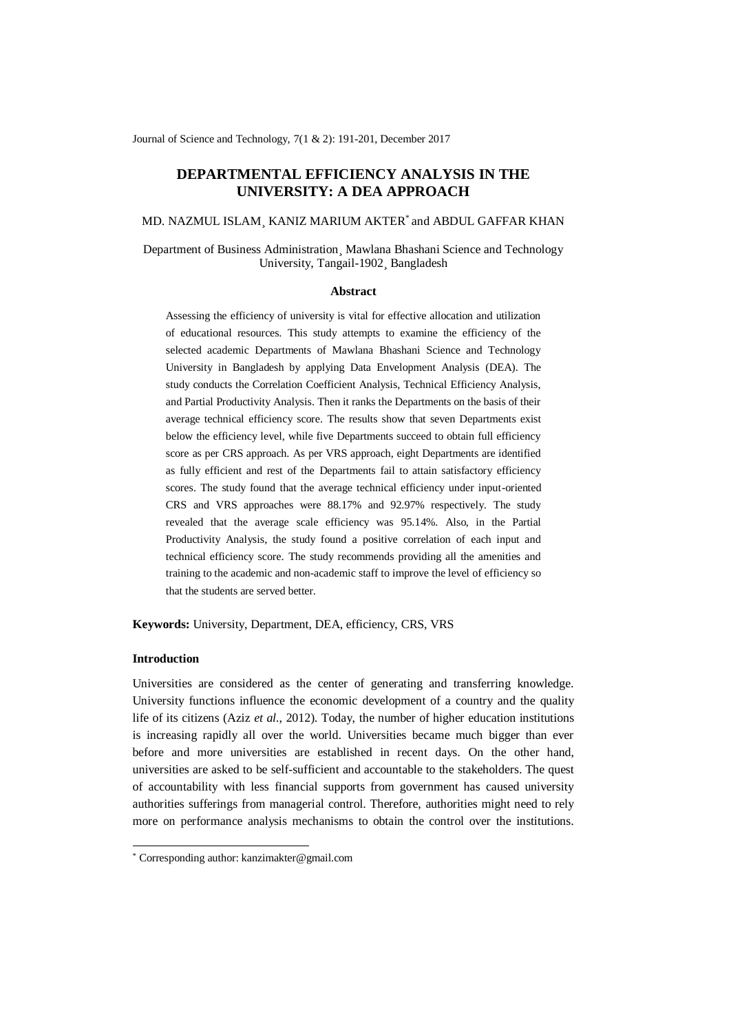Journal of Science and Technology, 7(1 & 2): 191-201, December 2017

# **DEPARTMENTAL EFFICIENCY ANALYSIS IN THE UNIVERSITY: A DEA APPROACH**

MD. NAZMUL ISLAM¸ KANIZ MARIUM AKTER\* and ABDUL GAFFAR KHAN

Department of Business Administration¸ Mawlana Bhashani Science and Technology University, Tangail-1902¸ Bangladesh

#### **Abstract**

Assessing the efficiency of university is vital for effective allocation and utilization of educational resources. This study attempts to examine the efficiency of the selected academic Departments of Mawlana Bhashani Science and Technology University in Bangladesh by applying Data Envelopment Analysis (DEA). The study conducts the Correlation Coefficient Analysis, Technical Efficiency Analysis, and Partial Productivity Analysis. Then it ranks the Departments on the basis of their average technical efficiency score. The results show that seven Departments exist below the efficiency level, while five Departments succeed to obtain full efficiency score as per CRS approach. As per VRS approach, eight Departments are identified as fully efficient and rest of the Departments fail to attain satisfactory efficiency scores. The study found that the average technical efficiency under input-oriented CRS and VRS approaches were 88.17% and 92.97% respectively. The study revealed that the average scale efficiency was 95.14%. Also, in the Partial Productivity Analysis, the study found a positive correlation of each input and technical efficiency score. The study recommends providing all the amenities and training to the academic and non-academic staff to improve the level of efficiency so that the students are served better.

**Keywords:** University, Department, DEA, efficiency, CRS, VRS

#### **Introduction**

-

Universities are considered as the center of generating and transferring knowledge. University functions influence the economic development of a country and the quality life of its citizens (Aziz *et al.*, 2012). Today, the number of higher education institutions is increasing rapidly all over the world. Universities became much bigger than ever before and more universities are established in recent days. On the other hand, universities are asked to be self-sufficient and accountable to the stakeholders. The quest of accountability with less financial supports from government has caused university authorities sufferings from managerial control. Therefore, authorities might need to rely more on performance analysis mechanisms to obtain the control over the institutions.

<sup>\*</sup> Corresponding author: kanzimakter@gmail.com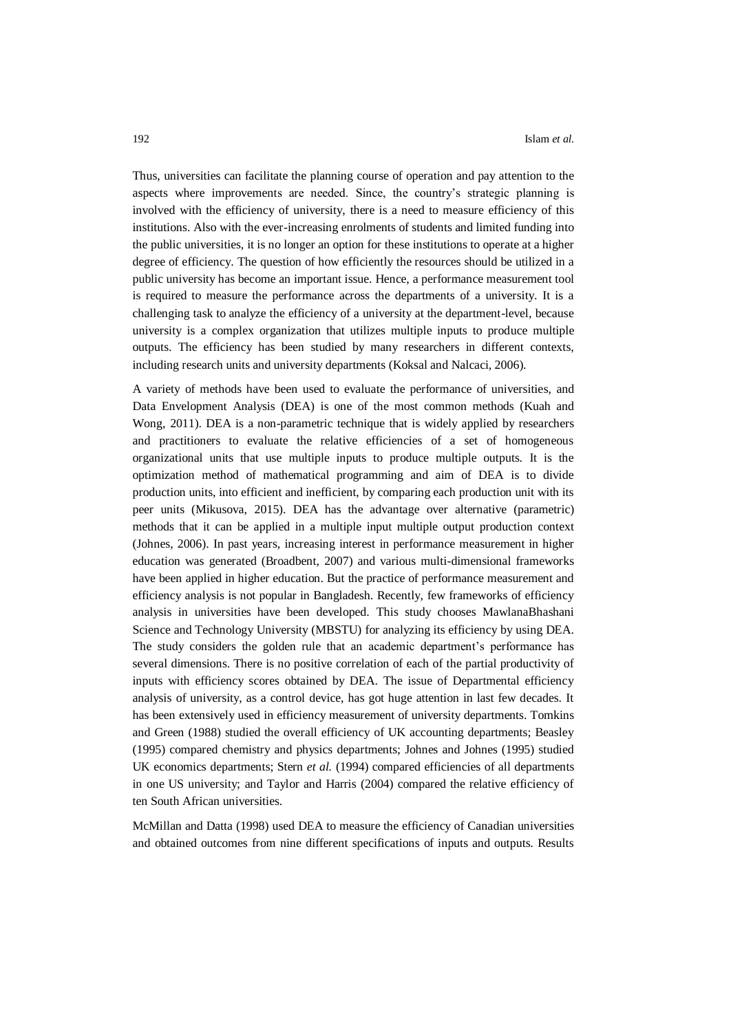Thus, universities can facilitate the planning course of operation and pay attention to the aspects where improvements are needed. Since, the country's strategic planning is involved with the efficiency of university, there is a need to measure efficiency of this institutions. Also with the ever-increasing enrolments of students and limited funding into the public universities, it is no longer an option for these institutions to operate at a higher degree of efficiency. The question of how efficiently the resources should be utilized in a public university has become an important issue. Hence, a performance measurement tool is required to measure the performance across the departments of a university. It is a challenging task to analyze the efficiency of a university at the department-level, because university is a complex organization that utilizes multiple inputs to produce multiple outputs. The efficiency has been studied by many researchers in different contexts, including research units and university departments (Koksal and Nalcaci, 2006).

A variety of methods have been used to evaluate the performance of universities, and Data Envelopment Analysis (DEA) is one of the most common methods (Kuah and Wong, 2011). DEA is a non-parametric technique that is widely applied by researchers and practitioners to evaluate the relative efficiencies of a set of homogeneous organizational units that use multiple inputs to produce multiple outputs. It is the optimization method of mathematical programming and aim of DEA is to divide production units, into efficient and inefficient, by comparing each production unit with its peer units (Mikusova, 2015). DEA has the advantage over alternative (parametric) methods that it can be applied in a multiple input multiple output production context (Johnes, 2006). In past years, increasing interest in performance measurement in higher education was generated (Broadbent, 2007) and various multi-dimensional frameworks have been applied in higher education. But the practice of performance measurement and efficiency analysis is not popular in Bangladesh. Recently, few frameworks of efficiency analysis in universities have been developed. This study chooses MawlanaBhashani Science and Technology University (MBSTU) for analyzing its efficiency by using DEA. The study considers the golden rule that an academic department's performance has several dimensions. There is no positive correlation of each of the partial productivity of inputs with efficiency scores obtained by DEA. The issue of Departmental efficiency analysis of university, as a control device, has got huge attention in last few decades. It has been extensively used in efficiency measurement of university departments. Tomkins and Green (1988) studied the overall efficiency of UK accounting departments; Beasley (1995) compared chemistry and physics departments; Johnes and Johnes (1995) studied UK economics departments; Stern *et al.* (1994) compared efficiencies of all departments in one US university; and Taylor and Harris (2004) compared the relative efficiency of ten South African universities.

McMillan and Datta (1998) used DEA to measure the efficiency of Canadian universities and obtained outcomes from nine different specifications of inputs and outputs. Results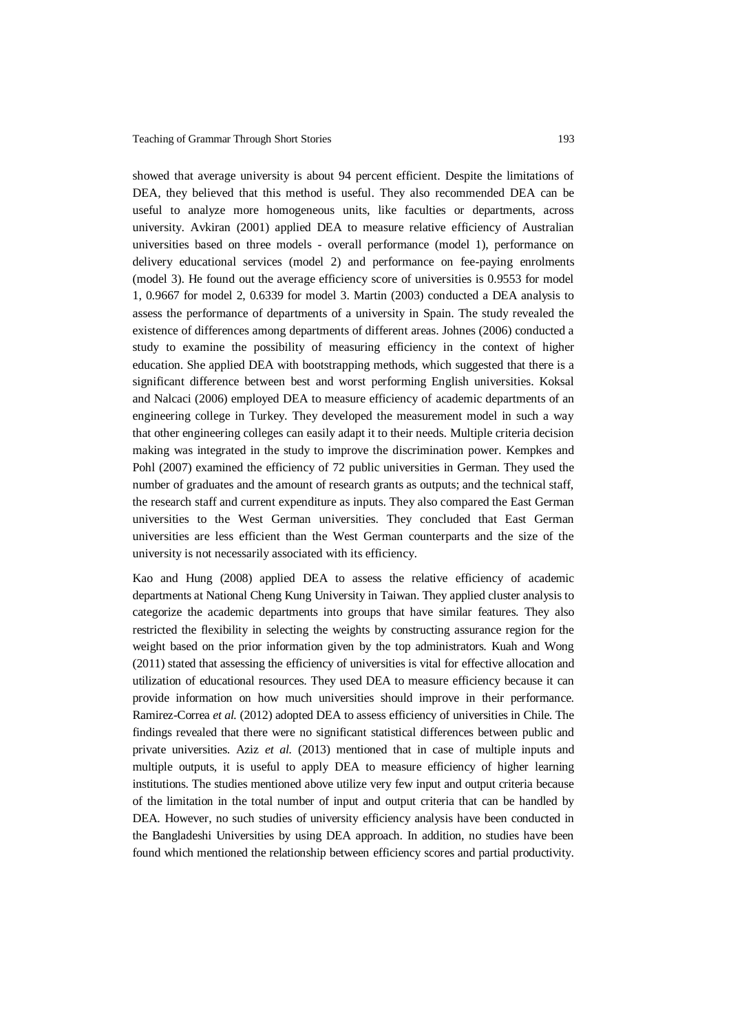showed that average university is about 94 percent efficient. Despite the limitations of DEA, they believed that this method is useful. They also recommended DEA can be useful to analyze more homogeneous units, like faculties or departments, across university. Avkiran (2001) applied DEA to measure relative efficiency of Australian universities based on three models - overall performance (model 1), performance on delivery educational services (model 2) and performance on fee-paying enrolments (model 3). He found out the average efficiency score of universities is 0.9553 for model 1, 0.9667 for model 2, 0.6339 for model 3. Martin (2003) conducted a DEA analysis to assess the performance of departments of a university in Spain. The study revealed the existence of differences among departments of different areas. Johnes (2006) conducted a study to examine the possibility of measuring efficiency in the context of higher education. She applied DEA with bootstrapping methods, which suggested that there is a significant difference between best and worst performing English universities. Koksal and Nalcaci (2006) employed DEA to measure efficiency of academic departments of an engineering college in Turkey. They developed the measurement model in such a way that other engineering colleges can easily adapt it to their needs. Multiple criteria decision making was integrated in the study to improve the discrimination power. Kempkes and Pohl (2007) examined the efficiency of 72 public universities in German. They used the number of graduates and the amount of research grants as outputs; and the technical staff, the research staff and current expenditure as inputs. They also compared the East German universities to the West German universities. They concluded that East German universities are less efficient than the West German counterparts and the size of the university is not necessarily associated with its efficiency.

Kao and Hung (2008) applied DEA to assess the relative efficiency of academic departments at National Cheng Kung University in Taiwan. They applied cluster analysis to categorize the academic departments into groups that have similar features. They also restricted the flexibility in selecting the weights by constructing assurance region for the weight based on the prior information given by the top administrators. Kuah and Wong (2011) stated that assessing the efficiency of universities is vital for effective allocation and utilization of educational resources. They used DEA to measure efficiency because it can provide information on how much universities should improve in their performance. Ramirez-Correa *et al.* (2012) adopted DEA to assess efficiency of universities in Chile. The findings revealed that there were no significant statistical differences between public and private universities. Aziz *et al.* (2013) mentioned that in case of multiple inputs and multiple outputs, it is useful to apply DEA to measure efficiency of higher learning institutions. The studies mentioned above utilize very few input and output criteria because of the limitation in the total number of input and output criteria that can be handled by DEA. However, no such studies of university efficiency analysis have been conducted in the Bangladeshi Universities by using DEA approach. In addition, no studies have been found which mentioned the relationship between efficiency scores and partial productivity.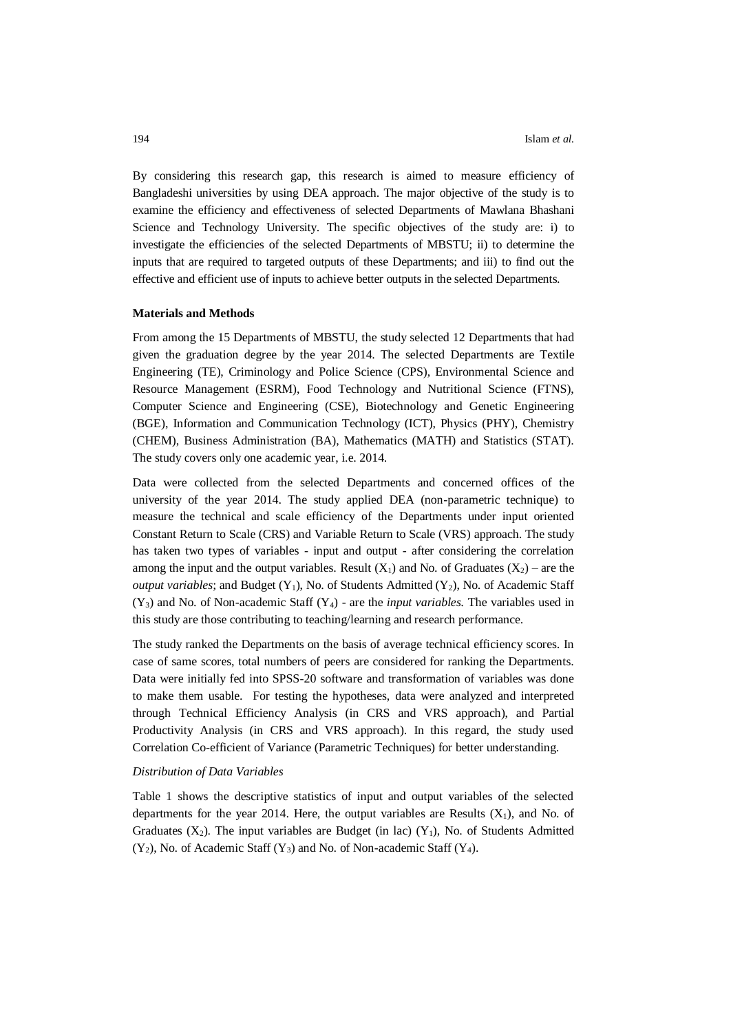By considering this research gap, this research is aimed to measure efficiency of Bangladeshi universities by using DEA approach. The major objective of the study is to examine the efficiency and effectiveness of selected Departments of Mawlana Bhashani Science and Technology University. The specific objectives of the study are: i) to investigate the efficiencies of the selected Departments of MBSTU; ii) to determine the inputs that are required to targeted outputs of these Departments; and iii) to find out the effective and efficient use of inputs to achieve better outputs in the selected Departments.

#### **Materials and Methods**

From among the 15 Departments of MBSTU, the study selected 12 Departments that had given the graduation degree by the year 2014. The selected Departments are Textile Engineering (TE), Criminology and Police Science (CPS), Environmental Science and Resource Management (ESRM), Food Technology and Nutritional Science (FTNS), Computer Science and Engineering (CSE), Biotechnology and Genetic Engineering (BGE), Information and Communication Technology (ICT), Physics (PHY), Chemistry (CHEM), Business Administration (BA), Mathematics (MATH) and Statistics (STAT). The study covers only one academic year, i.e. 2014.

Data were collected from the selected Departments and concerned offices of the university of the year 2014. The study applied DEA (non-parametric technique) to measure the technical and scale efficiency of the Departments under input oriented Constant Return to Scale (CRS) and Variable Return to Scale (VRS) approach. The study has taken two types of variables - input and output - after considering the correlation among the input and the output variables. Result  $(X_1)$  and No. of Graduates  $(X_2)$  – are the *output variables*; and Budget  $(Y_1)$ , No. of Students Admitted  $(Y_2)$ , No. of Academic Staff  $(Y_3)$  and No. of Non-academic Staff  $(Y_4)$  - are the *input variables*. The variables used in this study are those contributing to teaching/learning and research performance.

The study ranked the Departments on the basis of average technical efficiency scores. In case of same scores, total numbers of peers are considered for ranking the Departments. Data were initially fed into SPSS-20 software and transformation of variables was done to make them usable. For testing the hypotheses, data were analyzed and interpreted through Technical Efficiency Analysis (in CRS and VRS approach), and Partial Productivity Analysis (in CRS and VRS approach). In this regard, the study used Correlation Co-efficient of Variance (Parametric Techniques) for better understanding.

### *Distribution of Data Variables*

Table 1 shows the descriptive statistics of input and output variables of the selected departments for the year 2014. Here, the output variables are Results  $(X_1)$ , and No. of Graduates  $(X_2)$ . The input variables are Budget (in lac)  $(Y_1)$ , No. of Students Admitted  $(Y_2)$ , No. of Academic Staff  $(Y_3)$  and No. of Non-academic Staff  $(Y_4)$ .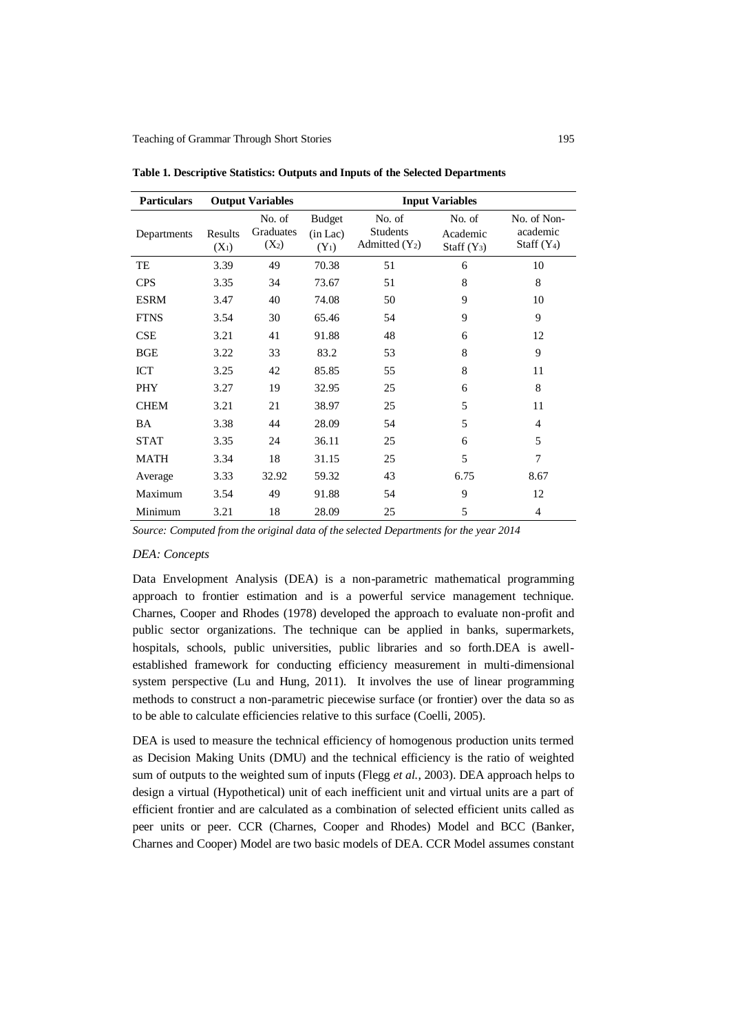| <b>Particulars</b> |                    | <b>Output Variables</b>        | <b>Input Variables</b>               |                                               |                                     |                                          |  |
|--------------------|--------------------|--------------------------------|--------------------------------------|-----------------------------------------------|-------------------------------------|------------------------------------------|--|
| Departments        | Results<br>$(X_1)$ | No. of<br>Graduates<br>$(X_2)$ | <b>Budget</b><br>(in Lac)<br>$(Y_1)$ | No. of<br><b>Students</b><br>Admitted $(Y_2)$ | No. of<br>Academic<br>Staff $(Y_3)$ | No. of Non-<br>academic<br>Staff $(Y_4)$ |  |
| TE                 | 3.39               | 49                             | 70.38                                | 51                                            | 6                                   | 10                                       |  |
| <b>CPS</b>         | 3.35               | 34                             | 73.67                                | 51                                            | 8                                   | 8                                        |  |
| <b>ESRM</b>        | 3.47               | 40                             | 74.08                                | 50                                            | 9                                   | 10                                       |  |
| <b>FTNS</b>        | 3.54               | 30                             | 65.46                                | 54                                            | 9                                   | 9                                        |  |
| <b>CSE</b>         | 3.21               | 41                             | 91.88                                | 48                                            | 6                                   | 12                                       |  |
| <b>BGE</b>         | 3.22               | 33                             | 83.2                                 | 53                                            | 8                                   | 9                                        |  |
| <b>ICT</b>         | 3.25               | 42                             | 85.85                                | 55                                            | 8                                   | 11                                       |  |
| <b>PHY</b>         | 3.27               | 19                             | 32.95                                | 25                                            | 6                                   | 8                                        |  |
| <b>CHEM</b>        | 3.21               | 21                             | 38.97                                | 25                                            | 5                                   | 11                                       |  |
| <b>BA</b>          | 3.38               | 44                             | 28.09                                | 54                                            | 5                                   | 4                                        |  |
| <b>STAT</b>        | 3.35               | 24                             | 36.11                                | 25                                            | 6                                   | 5                                        |  |
| <b>MATH</b>        | 3.34               | 18                             | 31.15                                | 25                                            | 5                                   | 7                                        |  |
| Average            | 3.33               | 32.92                          | 59.32                                | 43                                            | 6.75                                | 8.67                                     |  |
| Maximum            | 3.54               | 49                             | 91.88                                | 54                                            | 9                                   | 12                                       |  |
| Minimum            | 3.21               | 18                             | 28.09                                | 25                                            | 5                                   | 4                                        |  |

**Table 1. Descriptive Statistics: Outputs and Inputs of the Selected Departments**

*Source: Computed from the original data of the selected Departments for the year 2014*

### *DEA: Concepts*

Data Envelopment Analysis (DEA) is a non-parametric mathematical programming approach to frontier estimation and is a powerful service management technique. Charnes, Cooper and Rhodes (1978) developed the approach to evaluate non-profit and public sector organizations. The technique can be applied in banks, supermarkets, hospitals, schools, public universities, public libraries and so forth.DEA is awellestablished framework for conducting efficiency measurement in multi-dimensional system perspective (Lu and Hung, 2011). It involves the use of linear programming methods to construct a non-parametric piecewise surface (or frontier) over the data so as to be able to calculate efficiencies relative to this surface (Coelli, 2005).

DEA is used to measure the technical efficiency of homogenous production units termed as Decision Making Units (DMU) and the technical efficiency is the ratio of weighted sum of outputs to the weighted sum of inputs (Flegg *et al.*, 2003). DEA approach helps to design a virtual (Hypothetical) unit of each inefficient unit and virtual units are a part of efficient frontier and are calculated as a combination of selected efficient units called as peer units or peer. CCR (Charnes, Cooper and Rhodes) Model and BCC (Banker, Charnes and Cooper) Model are two basic models of DEA. CCR Model assumes constant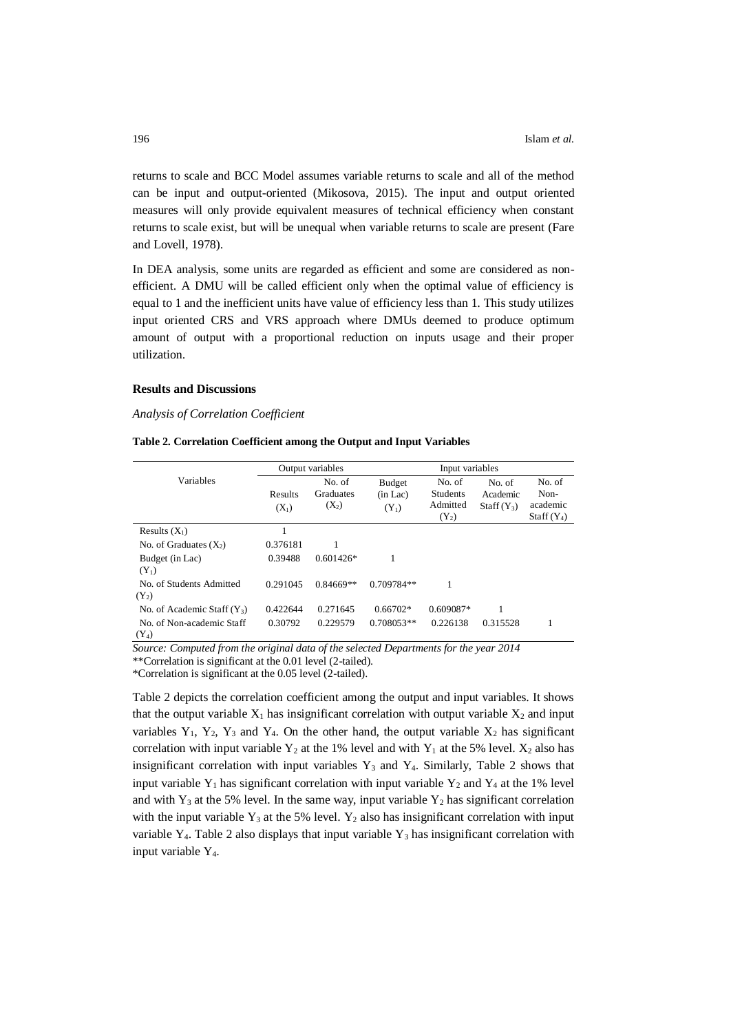returns to scale and BCC Model assumes variable returns to scale and all of the method can be input and output-oriented (Mikosova, 2015). The input and output oriented measures will only provide equivalent measures of technical efficiency when constant returns to scale exist, but will be unequal when variable returns to scale are present (Fare and Lovell, 1978).

In DEA analysis, some units are regarded as efficient and some are considered as nonefficient. A DMU will be called efficient only when the optimal value of efficiency is equal to 1 and the inefficient units have value of efficiency less than 1. This study utilizes input oriented CRS and VRS approach where DMUs deemed to produce optimum amount of output with a proportional reduction on inputs usage and their proper utilization.

### **Results and Discussions**

### *Analysis of Correlation Coefficient*

|  | Table 2. Correlation Coefficient among the Output and Input Variables |  |  |  |  |  |
|--|-----------------------------------------------------------------------|--|--|--|--|--|
|--|-----------------------------------------------------------------------|--|--|--|--|--|

|                                      | Output variables   |                                | Input variables               |                                                  |                                    |                                             |
|--------------------------------------|--------------------|--------------------------------|-------------------------------|--------------------------------------------------|------------------------------------|---------------------------------------------|
| Variables                            | Results<br>$(X_1)$ | No. of<br>Graduates<br>$(X_2)$ | Budget<br>(in Lac)<br>$(Y_1)$ | No. of<br><b>Students</b><br>Admitted<br>$(Y_2)$ | No. of<br>Academic<br>$Staff(Y_3)$ | No. of<br>Non-<br>academic<br>Staff $(Y_4)$ |
| Results $(X_1)$                      |                    |                                |                               |                                                  |                                    |                                             |
| No. of Graduates $(X_2)$             | 0.376181           |                                |                               |                                                  |                                    |                                             |
| Budget (in Lac)<br>$(Y_1)$           | 0.39488            | $0.601426*$                    | 1                             |                                                  |                                    |                                             |
| No. of Students Admitted<br>$(Y_2)$  | 0.291045           | $0.84669**$                    | $0.709784**$                  |                                                  |                                    |                                             |
| No. of Academic Staff $(Y_3)$        | 0.422644           | 0.271645                       | $0.66702*$                    | 0.609087*                                        |                                    |                                             |
| No. of Non-academic Staff<br>$(Y_4)$ | 0.30792            | 0.229579                       | $0.708053**$                  | 0.226138                                         | 0.315528                           |                                             |

*Source: Computed from the original data of the selected Departments for the year 2014*

\*\*Correlation is significant at the 0.01 level (2-tailed).

\*Correlation is significant at the 0.05 level (2-tailed).

Table 2 depicts the correlation coefficient among the output and input variables. It shows that the output variable  $X_1$  has insignificant correlation with output variable  $X_2$  and input variables  $Y_1$ ,  $Y_2$ ,  $Y_3$  and  $Y_4$ . On the other hand, the output variable  $X_2$  has significant correlation with input variable  $Y_2$  at the 1% level and with  $Y_1$  at the 5% level.  $X_2$  also has insignificant correlation with input variables  $Y_3$  and  $Y_4$ . Similarly, Table 2 shows that input variable  $Y_1$  has significant correlation with input variable  $Y_2$  and  $Y_4$  at the 1% level and with  $Y_3$  at the 5% level. In the same way, input variable  $Y_2$  has significant correlation with the input variable  $Y_3$  at the 5% level.  $Y_2$  also has insignificant correlation with input variable Y<sub>4</sub>. Table 2 also displays that input variable Y<sub>3</sub> has insignificant correlation with input variable  $Y_4$ .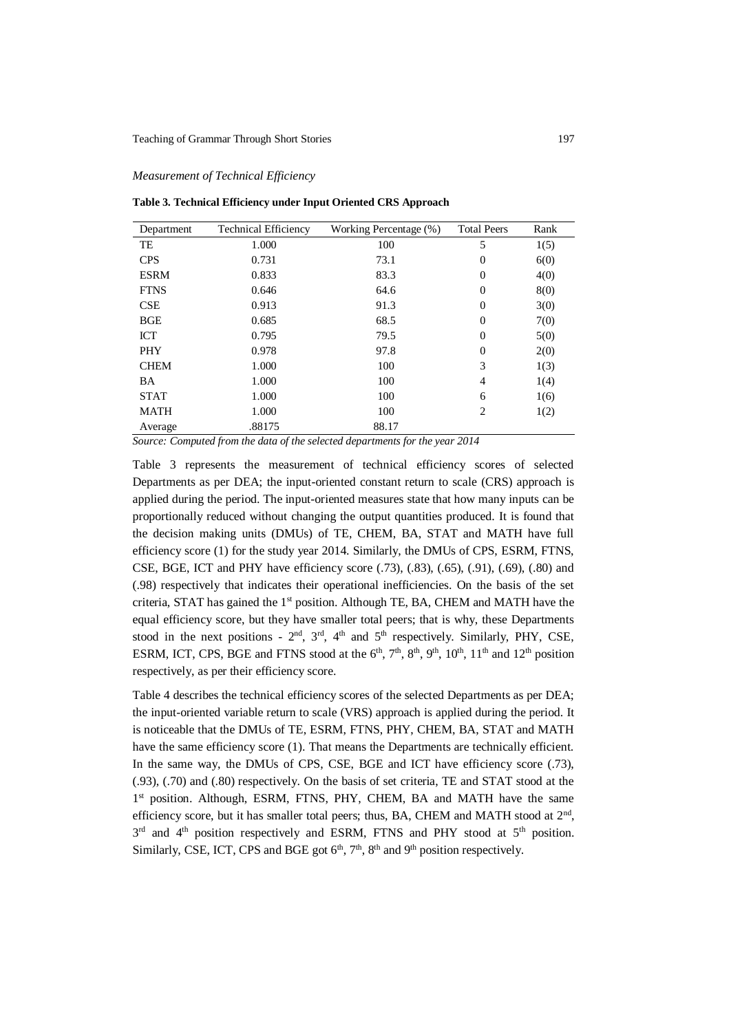#### *Measurement of Technical Efficiency*

**Table 3. Technical Efficiency under Input Oriented CRS Approach**

| Department  | <b>Technical Efficiency</b> | Working Percentage (%) | <b>Total Peers</b> | Rank |
|-------------|-----------------------------|------------------------|--------------------|------|
| TE          | 1.000                       | 100                    | 5                  | 1(5) |
| <b>CPS</b>  | 0.731                       | 73.1                   | 0                  | 6(0) |
| <b>ESRM</b> | 0.833                       | 83.3                   | $\overline{0}$     | 4(0) |
| <b>FTNS</b> | 0.646                       | 64.6                   | $\theta$           | 8(0) |
| <b>CSE</b>  | 0.913                       | 91.3                   | $\theta$           | 3(0) |
| <b>BGE</b>  | 0.685                       | 68.5                   | $\overline{0}$     | 7(0) |
| <b>ICT</b>  | 0.795                       | 79.5                   | $\theta$           | 5(0) |
| <b>PHY</b>  | 0.978                       | 97.8                   | $\theta$           | 2(0) |
| <b>CHEM</b> | 1.000                       | 100                    | 3                  | 1(3) |
| <b>BA</b>   | 1.000                       | 100                    | 4                  | 1(4) |
| <b>STAT</b> | 1.000                       | 100                    | 6                  | 1(6) |
| <b>MATH</b> | 1.000                       | 100                    | 2                  | 1(2) |
| Average     | .88175                      | 88.17                  |                    |      |

*Source: Computed from the data of the selected departments for the year 2014*

Table 3 represents the measurement of technical efficiency scores of selected Departments as per DEA; the input-oriented constant return to scale (CRS) approach is applied during the period. The input-oriented measures state that how many inputs can be proportionally reduced without changing the output quantities produced. It is found that the decision making units (DMUs) of TE, CHEM, BA, STAT and MATH have full efficiency score (1) for the study year 2014. Similarly, the DMUs of CPS, ESRM, FTNS, CSE, BGE, ICT and PHY have efficiency score (.73), (.83), (.65), (.91), (.69), (.80) and (.98) respectively that indicates their operational inefficiencies. On the basis of the set criteria, STAT has gained the 1<sup>st</sup> position. Although TE, BA, CHEM and MATH have the equal efficiency score, but they have smaller total peers; that is why, these Departments stood in the next positions -  $2<sup>nd</sup>$ ,  $3<sup>rd</sup>$ ,  $4<sup>th</sup>$  and  $5<sup>th</sup>$  respectively. Similarly, PHY, CSE, ESRM, ICT, CPS, BGE and FTNS stood at the  $6<sup>th</sup>$ ,  $7<sup>th</sup>$ ,  $8<sup>th</sup>$ ,  $9<sup>th</sup>$ ,  $10<sup>th</sup>$ ,  $11<sup>th</sup>$  and  $12<sup>th</sup>$  position respectively, as per their efficiency score.

Table 4 describes the technical efficiency scores of the selected Departments as per DEA; the input-oriented variable return to scale (VRS) approach is applied during the period. It is noticeable that the DMUs of TE, ESRM, FTNS, PHY, CHEM, BA, STAT and MATH have the same efficiency score (1). That means the Departments are technically efficient. In the same way, the DMUs of CPS, CSE, BGE and ICT have efficiency score (.73), (.93), (.70) and (.80) respectively. On the basis of set criteria, TE and STAT stood at the 1<sup>st</sup> position. Although, ESRM, FTNS, PHY, CHEM, BA and MATH have the same efficiency score, but it has smaller total peers; thus, BA, CHEM and MATH stood at 2<sup>nd</sup>, 3<sup>rd</sup> and 4<sup>th</sup> position respectively and ESRM, FTNS and PHY stood at 5<sup>th</sup> position. Similarly, CSE, ICT, CPS and BGE got  $6<sup>th</sup>$ ,  $7<sup>th</sup>$ ,  $8<sup>th</sup>$  and  $9<sup>th</sup>$  position respectively.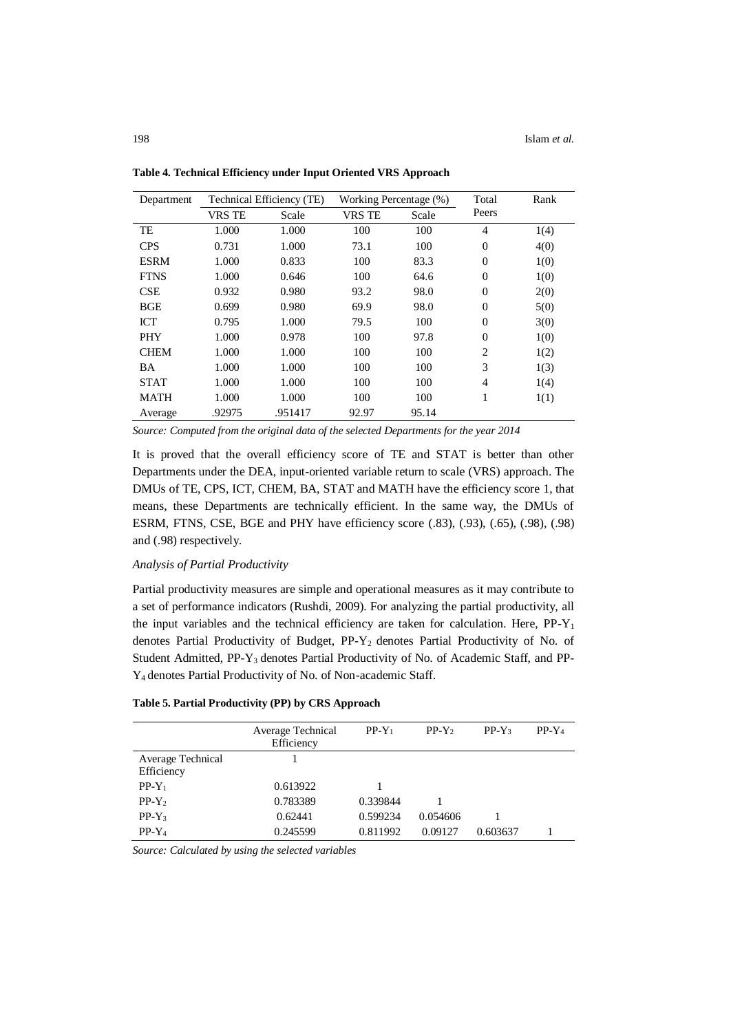| Department  | Technical Efficiency (TE) |         |               | Working Percentage (%) |                | Rank |
|-------------|---------------------------|---------|---------------|------------------------|----------------|------|
|             | <b>VRS TE</b>             | Scale   | <b>VRS TE</b> | Scale                  | Peers          |      |
| TE          | 1.000                     | 1.000   | 100           | 100                    | 4              | 1(4) |
| <b>CPS</b>  | 0.731                     | 1.000   | 73.1          | 100                    | $\Omega$       | 4(0) |
| <b>ESRM</b> | 1.000                     | 0.833   | 100           | 83.3                   | $\Omega$       | 1(0) |
| <b>FTNS</b> | 1.000                     | 0.646   | 100           | 64.6                   | $\theta$       | 1(0) |
| <b>CSE</b>  | 0.932                     | 0.980   | 93.2          | 98.0                   | $\Omega$       | 2(0) |
| <b>BGE</b>  | 0.699                     | 0.980   | 69.9          | 98.0                   | $\Omega$       | 5(0) |
| <b>ICT</b>  | 0.795                     | 1.000   | 79.5          | 100                    | $\Omega$       | 3(0) |
| PHY         | 1.000                     | 0.978   | 100           | 97.8                   | $\theta$       | 1(0) |
| <b>CHEM</b> | 1.000                     | 1.000   | 100           | 100                    | $\overline{2}$ | 1(2) |
| BA          | 1.000                     | 1.000   | 100           | 100                    | 3              | 1(3) |
| <b>STAT</b> | 1.000                     | 1.000   | 100           | 100                    | 4              | 1(4) |
| <b>MATH</b> | 1.000                     | 1.000   | 100           | 100                    | 1              | 1(1) |
| Average     | .92975                    | .951417 | 92.97         | 95.14                  |                |      |

**Table 4. Technical Efficiency under Input Oriented VRS Approach**

*Source: Computed from the original data of the selected Departments for the year 2014*

It is proved that the overall efficiency score of TE and STAT is better than other Departments under the DEA, input-oriented variable return to scale (VRS) approach. The DMUs of TE, CPS, ICT, CHEM, BA, STAT and MATH have the efficiency score 1, that means, these Departments are technically efficient. In the same way, the DMUs of ESRM, FTNS, CSE, BGE and PHY have efficiency score (.83), (.93), (.65), (.98), (.98) and (.98) respectively.

## *Analysis of Partial Productivity*

Partial productivity measures are simple and operational measures as it may contribute to a set of performance indicators (Rushdi, 2009). For analyzing the partial productivity, all the input variables and the technical efficiency are taken for calculation. Here,  $PP-Y_1$ denotes Partial Productivity of Budget, PP-Y2 denotes Partial Productivity of No. of Student Admitted, PP-Y<sub>3</sub> denotes Partial Productivity of No. of Academic Staff, and PP-Y4 denotes Partial Productivity of No. of Non-academic Staff.

|                   | Average Technical<br>Efficiency | $PP-Y_1$ | $PP-Y2$  | $PP-Y_3$ | $PP-Y_4$ |
|-------------------|---------------------------------|----------|----------|----------|----------|
| Average Technical |                                 |          |          |          |          |
| Efficiency        |                                 |          |          |          |          |
| $PP-Y_1$          | 0.613922                        |          |          |          |          |
| $PP-Y2$           | 0.783389                        | 0.339844 |          |          |          |
| $PP-Y_3$          | 0.62441                         | 0.599234 | 0.054606 |          |          |
| $PP-Y_4$          | 0.245599                        | 0.811992 | 0.09127  | 0.603637 |          |

# **Table 5. Partial Productivity (PP) by CRS Approach**

*Source: Calculated by using the selected variables*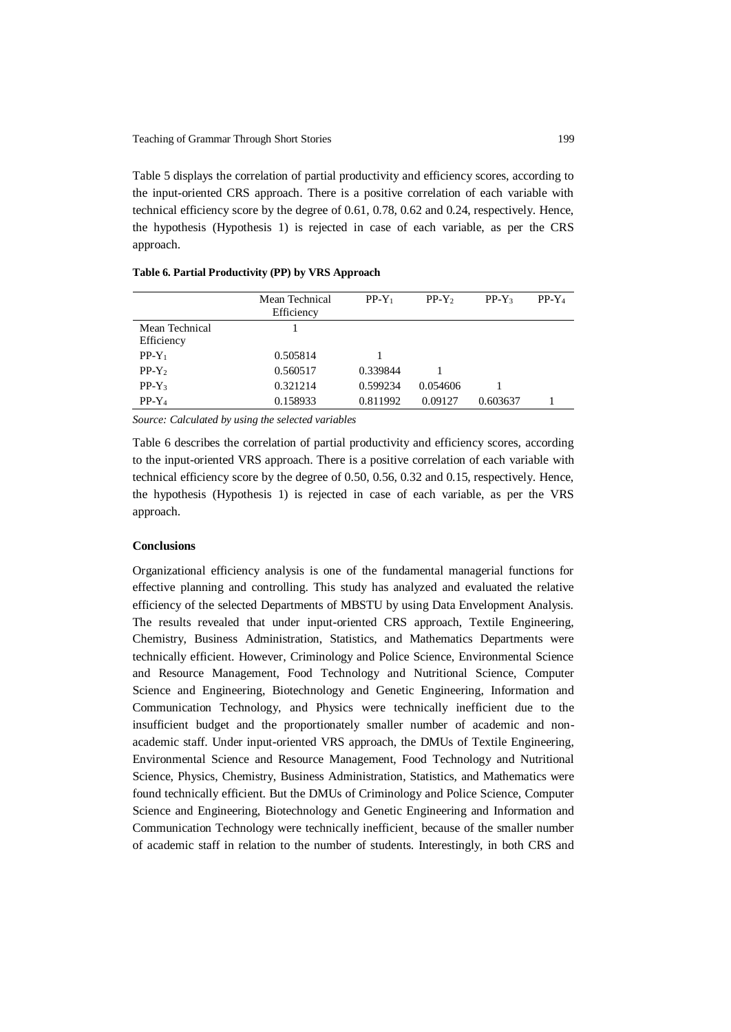Table 5 displays the correlation of partial productivity and efficiency scores, according to the input-oriented CRS approach. There is a positive correlation of each variable with technical efficiency score by the degree of 0.61, 0.78, 0.62 and 0.24, respectively. Hence, the hypothesis (Hypothesis 1) is rejected in case of each variable, as per the CRS approach.

|                              | Mean Technical<br>Efficiency | $PP-Y_1$ | $PP-Y2$  | $PP-Y_3$ | $PP-Y_4$ |
|------------------------------|------------------------------|----------|----------|----------|----------|
| Mean Technical<br>Efficiency |                              |          |          |          |          |
| $PP-Y_1$                     | 0.505814                     |          |          |          |          |
| $PP-Y_2$                     | 0.560517                     | 0.339844 |          |          |          |
| $PP-Y_3$                     | 0.321214                     | 0.599234 | 0.054606 |          |          |
| $PP-Y_4$                     | 0.158933                     | 0.811992 | 0.09127  | 0.603637 |          |

**Table 6. Partial Productivity (PP) by VRS Approach**

*Source: Calculated by using the selected variables*

Table 6 describes the correlation of partial productivity and efficiency scores, according to the input-oriented VRS approach. There is a positive correlation of each variable with technical efficiency score by the degree of 0.50, 0.56, 0.32 and 0.15, respectively. Hence, the hypothesis (Hypothesis 1) is rejected in case of each variable, as per the VRS approach.

#### **Conclusions**

Organizational efficiency analysis is one of the fundamental managerial functions for effective planning and controlling. This study has analyzed and evaluated the relative efficiency of the selected Departments of MBSTU by using Data Envelopment Analysis. The results revealed that under input-oriented CRS approach, Textile Engineering, Chemistry, Business Administration, Statistics, and Mathematics Departments were technically efficient. However, Criminology and Police Science, Environmental Science and Resource Management, Food Technology and Nutritional Science, Computer Science and Engineering, Biotechnology and Genetic Engineering, Information and Communication Technology, and Physics were technically inefficient due to the insufficient budget and the proportionately smaller number of academic and nonacademic staff. Under input-oriented VRS approach, the DMUs of Textile Engineering, Environmental Science and Resource Management, Food Technology and Nutritional Science, Physics, Chemistry, Business Administration, Statistics, and Mathematics were found technically efficient. But the DMUs of Criminology and Police Science, Computer Science and Engineering, Biotechnology and Genetic Engineering and Information and Communication Technology were technically inefficient, because of the smaller number of academic staff in relation to the number of students. Interestingly, in both CRS and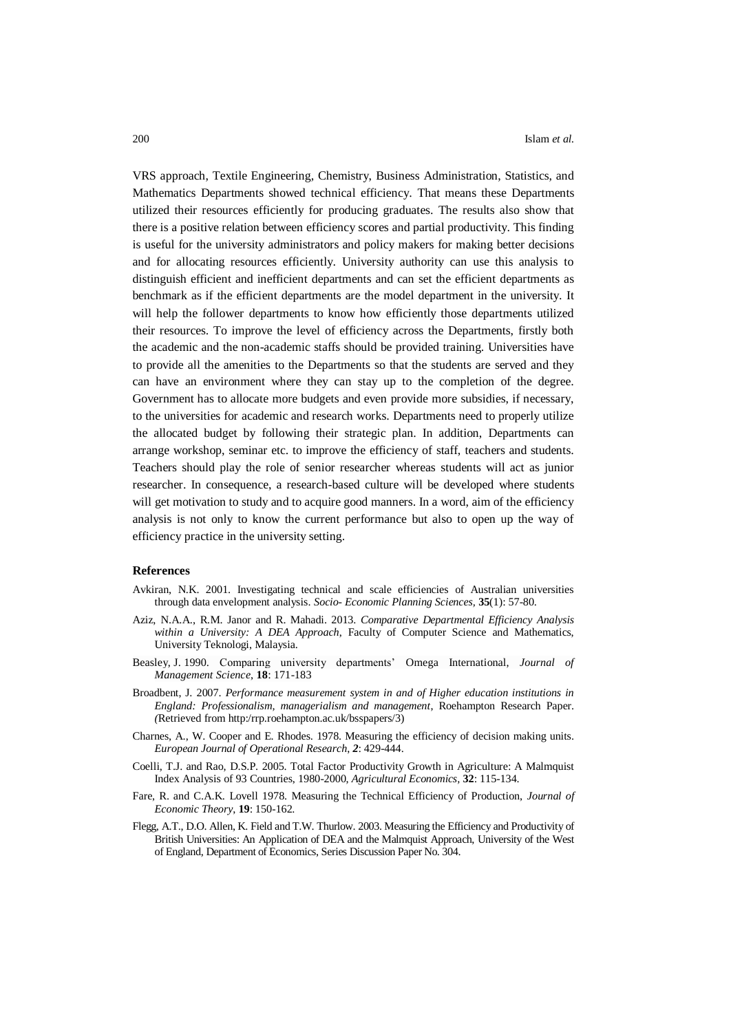VRS approach, Textile Engineering, Chemistry, Business Administration, Statistics, and Mathematics Departments showed technical efficiency. That means these Departments utilized their resources efficiently for producing graduates. The results also show that there is a positive relation between efficiency scores and partial productivity. This finding is useful for the university administrators and policy makers for making better decisions and for allocating resources efficiently. University authority can use this analysis to distinguish efficient and inefficient departments and can set the efficient departments as benchmark as if the efficient departments are the model department in the university. It will help the follower departments to know how efficiently those departments utilized their resources. To improve the level of efficiency across the Departments, firstly both the academic and the non-academic staffs should be provided training. Universities have to provide all the amenities to the Departments so that the students are served and they can have an environment where they can stay up to the completion of the degree. Government has to allocate more budgets and even provide more subsidies, if necessary, to the universities for academic and research works. Departments need to properly utilize the allocated budget by following their strategic plan. In addition, Departments can arrange workshop, seminar etc. to improve the efficiency of staff, teachers and students. Teachers should play the role of senior researcher whereas students will act as junior researcher. In consequence, a research-based culture will be developed where students will get motivation to study and to acquire good manners. In a word, aim of the efficiency analysis is not only to know the current performance but also to open up the way of efficiency practice in the university setting.

#### **References**

- Avkiran, N.K. 2001. Investigating technical and scale efficiencies of Australian universities through data envelopment analysis. *Socio- Economic Planning Sciences,* **35**(1): 57-80.
- Aziz, N.A.A., R.M. Janor and R. Mahadi. 2013. *Comparative Departmental Efficiency Analysis within a University: A DEA Approach*, Faculty of Computer Science and Mathematics, University Teknologi, Malaysia.
- Beasley, J. 1990. Comparing university departments' Omega International, *Journal of Management Science*, **18**: 171-183
- Broadbent, J. 2007. *Performance measurement system in and of Higher education institutions in England: Professionalism, managerialism and management*, Roehampton Research Paper. *(*Retrieved from http:/rrp.roehampton.ac.uk/bsspapers/3)
- Charnes, A., W. Cooper and E. Rhodes. 1978. Measuring the efficiency of decision making units. *European Journal of Operational Research*, *2*: 429-444.
- Coelli, T.J. and Rao, D.S.P. 2005. Total Factor Productivity Growth in Agriculture: A Malmquist Index Analysis of 93 Countries, 1980-2000, *Agricultural Economics,* **32**: 115-134.
- Fare, R. and C.A.K. Lovell 1978. Measuring the Technical Efficiency of Production, *Journal of Economic Theory*, **19**: 150-162.
- Flegg, A.T., D.O. Allen, K. Field and T.W. Thurlow. 2003. Measuring the Efficiency and Productivity of British Universities: An Application of DEA and the Malmquist Approach, University of the West of England, Department of Economics, Series Discussion Paper No. 304.